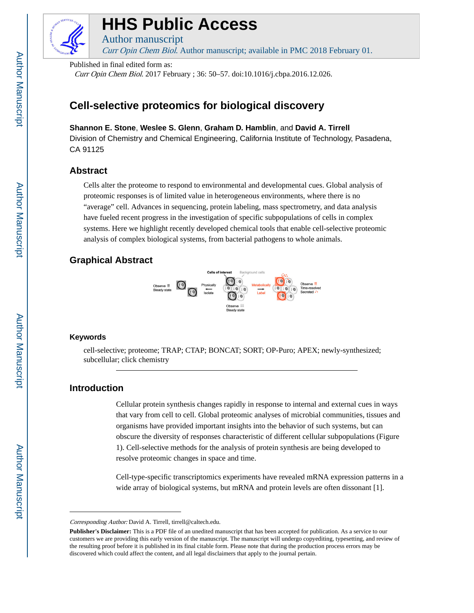

# **HHS Public Access**

Curr Opin Chem Biol. Author manuscript; available in PMC 2018 February 01.

Published in final edited form as:

Author manuscript

Curr Opin Chem Biol. 2017 February ; 36: 50–57. doi:10.1016/j.cbpa.2016.12.026.

## **Cell-selective proteomics for biological discovery**

## **Shannon E. Stone**, **Weslee S. Glenn**, **Graham D. Hamblin**, and **David A. Tirrell**

Division of Chemistry and Chemical Engineering, California Institute of Technology, Pasadena, CA 91125

## **Abstract**

Cells alter the proteome to respond to environmental and developmental cues. Global analysis of proteomic responses is of limited value in heterogeneous environments, where there is no "average" cell. Advances in sequencing, protein labeling, mass spectrometry, and data analysis have fueled recent progress in the investigation of specific subpopulations of cells in complex systems. Here we highlight recently developed chemical tools that enable cell-selective proteomic analysis of complex biological systems, from bacterial pathogens to whole animals.

## **Graphical Abstract**



#### **Keywords**

cell-selective; proteome; TRAP; CTAP; BONCAT; SORT; OP-Puro; APEX; newly-synthesized; subcellular; click chemistry

## **Introduction**

Cellular protein synthesis changes rapidly in response to internal and external cues in ways that vary from cell to cell. Global proteomic analyses of microbial communities, tissues and organisms have provided important insights into the behavior of such systems, but can obscure the diversity of responses characteristic of different cellular subpopulations (Figure 1). Cell-selective methods for the analysis of protein synthesis are being developed to resolve proteomic changes in space and time.

Cell-type-specific transcriptomics experiments have revealed mRNA expression patterns in a wide array of biological systems, but mRNA and protein levels are often dissonant [1].

Corresponding Author: David A. Tirrell, tirrell@caltech.edu.

**Publisher's Disclaimer:** This is a PDF file of an unedited manuscript that has been accepted for publication. As a service to our customers we are providing this early version of the manuscript. The manuscript will undergo copyediting, typesetting, and review of the resulting proof before it is published in its final citable form. Please note that during the production process errors may be discovered which could affect the content, and all legal disclaimers that apply to the journal pertain.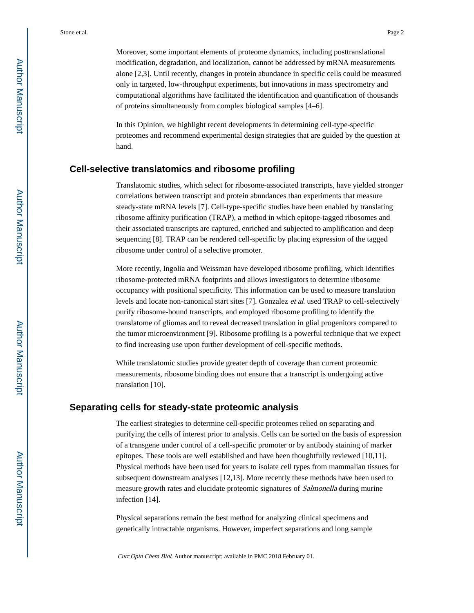Moreover, some important elements of proteome dynamics, including posttranslational modification, degradation, and localization, cannot be addressed by mRNA measurements alone [2,3]. Until recently, changes in protein abundance in specific cells could be measured only in targeted, low-throughput experiments, but innovations in mass spectrometry and computational algorithms have facilitated the identification and quantification of thousands of proteins simultaneously from complex biological samples [4–6].

In this Opinion, we highlight recent developments in determining cell-type-specific proteomes and recommend experimental design strategies that are guided by the question at hand.

## **Cell-selective translatomics and ribosome profiling**

Translatomic studies, which select for ribosome-associated transcripts, have yielded stronger correlations between transcript and protein abundances than experiments that measure steady-state mRNA levels [7]. Cell-type-specific studies have been enabled by translating ribosome affinity purification (TRAP), a method in which epitope-tagged ribosomes and their associated transcripts are captured, enriched and subjected to amplification and deep sequencing [8]. TRAP can be rendered cell-specific by placing expression of the tagged ribosome under control of a selective promoter.

More recently, Ingolia and Weissman have developed ribosome profiling, which identifies ribosome-protected mRNA footprints and allows investigators to determine ribosome occupancy with positional specificity. This information can be used to measure translation levels and locate non-canonical start sites [7]. Gonzalez et al. used TRAP to cell-selectively purify ribosome-bound transcripts, and employed ribosome profiling to identify the translatome of gliomas and to reveal decreased translation in glial progenitors compared to the tumor microenvironment [9]. Ribosome profiling is a powerful technique that we expect to find increasing use upon further development of cell-specific methods.

While translatomic studies provide greater depth of coverage than current proteomic measurements, ribosome binding does not ensure that a transcript is undergoing active translation [10].

## **Separating cells for steady-state proteomic analysis**

The earliest strategies to determine cell-specific proteomes relied on separating and purifying the cells of interest prior to analysis. Cells can be sorted on the basis of expression of a transgene under control of a cell-specific promoter or by antibody staining of marker epitopes. These tools are well established and have been thoughtfully reviewed [10,11]. Physical methods have been used for years to isolate cell types from mammalian tissues for subsequent downstream analyses [12,13]. More recently these methods have been used to measure growth rates and elucidate proteomic signatures of Salmonella during murine infection [14].

Physical separations remain the best method for analyzing clinical specimens and genetically intractable organisms. However, imperfect separations and long sample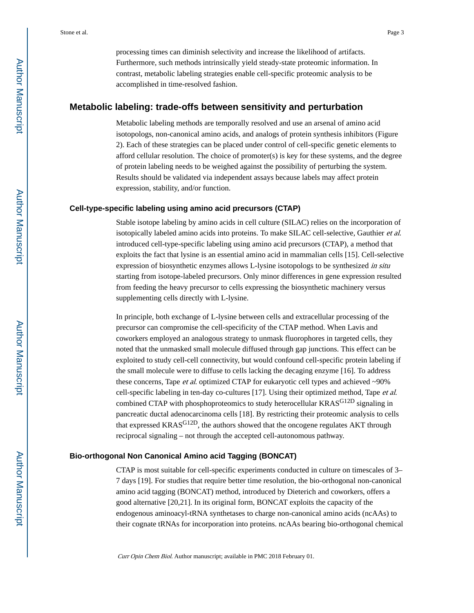processing times can diminish selectivity and increase the likelihood of artifacts. Furthermore, such methods intrinsically yield steady-state proteomic information. In contrast, metabolic labeling strategies enable cell-specific proteomic analysis to be accomplished in time-resolved fashion.

## **Metabolic labeling: trade-offs between sensitivity and perturbation**

Metabolic labeling methods are temporally resolved and use an arsenal of amino acid isotopologs, non-canonical amino acids, and analogs of protein synthesis inhibitors (Figure 2). Each of these strategies can be placed under control of cell-specific genetic elements to afford cellular resolution. The choice of promoter(s) is key for these systems, and the degree of protein labeling needs to be weighed against the possibility of perturbing the system. Results should be validated via independent assays because labels may affect protein expression, stability, and/or function.

#### **Cell-type-specific labeling using amino acid precursors (CTAP)**

Stable isotope labeling by amino acids in cell culture (SILAC) relies on the incorporation of isotopically labeled amino acids into proteins. To make SILAC cell-selective, Gauthier et al. introduced cell-type-specific labeling using amino acid precursors (CTAP), a method that exploits the fact that lysine is an essential amino acid in mammalian cells [15]. Cell-selective expression of biosynthetic enzymes allows L-lysine isotopologs to be synthesized in situ starting from isotope-labeled precursors. Only minor differences in gene expression resulted from feeding the heavy precursor to cells expressing the biosynthetic machinery versus supplementing cells directly with L-lysine.

In principle, both exchange of L-lysine between cells and extracellular processing of the precursor can compromise the cell-specificity of the CTAP method. When Lavis and coworkers employed an analogous strategy to unmask fluorophores in targeted cells, they noted that the unmasked small molecule diffused through gap junctions. This effect can be exploited to study cell-cell connectivity, but would confound cell-specific protein labeling if the small molecule were to diffuse to cells lacking the decaging enzyme [16]. To address these concerns, Tape *et al.* optimized CTAP for eukaryotic cell types and achieved  $\sim 90\%$ cell-specific labeling in ten-day co-cultures [17]. Using their optimized method, Tape et al. combined CTAP with phosphoproteomics to study heterocellular KRAS<sup>G12D</sup> signaling in pancreatic ductal adenocarcinoma cells [18]. By restricting their proteomic analysis to cells that expressed KRASG12D, the authors showed that the oncogene regulates AKT through reciprocal signaling – not through the accepted cell-autonomous pathway.

#### **Bio-orthogonal Non Canonical Amino acid Tagging (BONCAT)**

CTAP is most suitable for cell-specific experiments conducted in culture on timescales of 3– 7 days [19]. For studies that require better time resolution, the bio-orthogonal non-canonical amino acid tagging (BONCAT) method, introduced by Dieterich and coworkers, offers a good alternative [20,21]. In its original form, BONCAT exploits the capacity of the endogenous aminoacyl-tRNA synthetases to charge non-canonical amino acids (ncAAs) to their cognate tRNAs for incorporation into proteins. ncAAs bearing bio-orthogonal chemical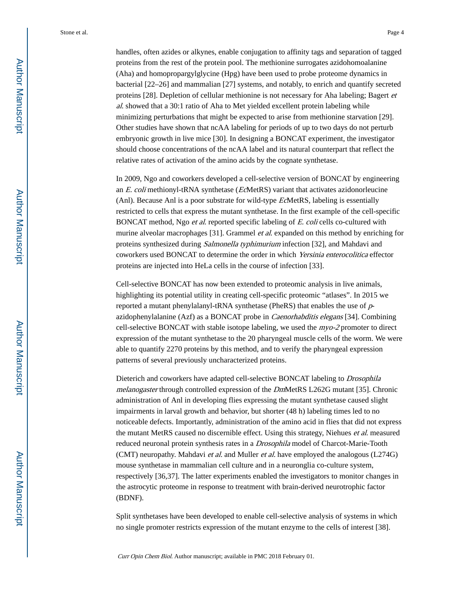handles, often azides or alkynes, enable conjugation to affinity tags and separation of tagged proteins from the rest of the protein pool. The methionine surrogates azidohomoalanine (Aha) and homopropargylglycine (Hpg) have been used to probe proteome dynamics in bacterial [22–26] and mammalian [27] systems, and notably, to enrich and quantify secreted proteins [28]. Depletion of cellular methionine is not necessary for Aha labeling; Bagert et al. showed that a 30:1 ratio of Aha to Met yielded excellent protein labeling while minimizing perturbations that might be expected to arise from methionine starvation [29]. Other studies have shown that ncAA labeling for periods of up to two days do not perturb embryonic growth in live mice [30]. In designing a BONCAT experiment, the investigator should choose concentrations of the ncAA label and its natural counterpart that reflect the relative rates of activation of the amino acids by the cognate synthetase.

In 2009, Ngo and coworkers developed a cell-selective version of BONCAT by engineering an E. coli methionyl-tRNA synthetase (EcMetRS) variant that activates azidonorleucine (Anl). Because Anl is a poor substrate for wild-type EcMetRS, labeling is essentially restricted to cells that express the mutant synthetase. In the first example of the cell-specific BONCAT method, Ngo *et al.* reported specific labeling of E. coli cells co-cultured with murine alveolar macrophages [31]. Grammel *et al.* expanded on this method by enriching for proteins synthesized during Salmonella typhimurium infection [32], and Mahdavi and coworkers used BONCAT to determine the order in which Yersinia enterocolitica effector proteins are injected into HeLa cells in the course of infection [33].

Cell-selective BONCAT has now been extended to proteomic analysis in live animals, highlighting its potential utility in creating cell-specific proteomic "atlases". In 2015 we reported a mutant phenylalanyl-tRNA synthetase (PheRS) that enables the use of pazidophenylalanine (Azf) as a BONCAT probe in Caenorhabditis elegans [34]. Combining cell-selective BONCAT with stable isotope labeling, we used the myo-2 promoter to direct expression of the mutant synthetase to the 20 pharyngeal muscle cells of the worm. We were able to quantify 2270 proteins by this method, and to verify the pharyngeal expression patterns of several previously uncharacterized proteins.

Dieterich and coworkers have adapted cell-selective BONCAT labeling to Drosophila melanogaster through controlled expression of the DmMetRS L262G mutant [35]. Chronic administration of Anl in developing flies expressing the mutant synthetase caused slight impairments in larval growth and behavior, but shorter (48 h) labeling times led to no noticeable defects. Importantly, administration of the amino acid in flies that did not express the mutant MetRS caused no discernible effect. Using this strategy, Niehues et al. measured reduced neuronal protein synthesis rates in a Drosophila model of Charcot-Marie-Tooth (CMT) neuropathy. Mahdavi et al. and Muller et al. have employed the analogous (L274G) mouse synthetase in mammalian cell culture and in a neuronglia co-culture system, respectively [36,37]. The latter experiments enabled the investigators to monitor changes in the astrocytic proteome in response to treatment with brain-derived neurotrophic factor (BDNF).

Split synthetases have been developed to enable cell-selective analysis of systems in which no single promoter restricts expression of the mutant enzyme to the cells of interest [38].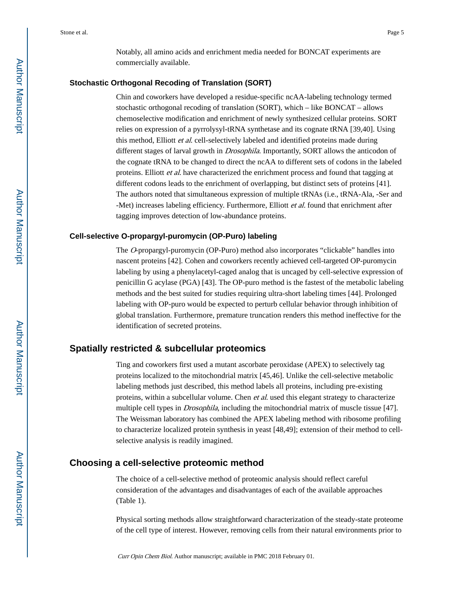Notably, all amino acids and enrichment media needed for BONCAT experiments are commercially available.

#### **Stochastic Orthogonal Recoding of Translation (SORT)**

Chin and coworkers have developed a residue-specific ncAA-labeling technology termed stochastic orthogonal recoding of translation (SORT), which – like BONCAT – allows chemoselective modification and enrichment of newly synthesized cellular proteins. SORT relies on expression of a pyrrolysyl-tRNA synthetase and its cognate tRNA [39,40]. Using this method, Elliott et al. cell-selectively labeled and identified proteins made during different stages of larval growth in Drosophila. Importantly, SORT allows the anticodon of the cognate tRNA to be changed to direct the ncAA to different sets of codons in the labeled proteins. Elliott et al. have characterized the enrichment process and found that tagging at different codons leads to the enrichment of overlapping, but distinct sets of proteins [41]. The authors noted that simultaneous expression of multiple tRNAs (i.e., tRNA-Ala, -Ser and -Met) increases labeling efficiency. Furthermore, Elliott *et al.* found that enrichment after tagging improves detection of low-abundance proteins.

#### **Cell-selective O-propargyl-puromycin (OP-Puro) labeling**

The O-propargyl-puromycin (OP-Puro) method also incorporates "clickable" handles into nascent proteins [42]. Cohen and coworkers recently achieved cell-targeted OP-puromycin labeling by using a phenylacetyl-caged analog that is uncaged by cell-selective expression of penicillin G acylase (PGA) [43]. The OP-puro method is the fastest of the metabolic labeling methods and the best suited for studies requiring ultra-short labeling times [44]. Prolonged labeling with OP-puro would be expected to perturb cellular behavior through inhibition of global translation. Furthermore, premature truncation renders this method ineffective for the identification of secreted proteins.

## **Spatially restricted & subcellular proteomics**

Ting and coworkers first used a mutant ascorbate peroxidase (APEX) to selectively tag proteins localized to the mitochondrial matrix [45,46]. Unlike the cell-selective metabolic labeling methods just described, this method labels all proteins, including pre-existing proteins, within a subcellular volume. Chen et al. used this elegant strategy to characterize multiple cell types in *Drosophila*, including the mitochondrial matrix of muscle tissue [47]. The Weissman laboratory has combined the APEX labeling method with ribosome profiling to characterize localized protein synthesis in yeast [48,49]; extension of their method to cellselective analysis is readily imagined.

## **Choosing a cell-selective proteomic method**

The choice of a cell-selective method of proteomic analysis should reflect careful consideration of the advantages and disadvantages of each of the available approaches (Table 1).

Physical sorting methods allow straightforward characterization of the steady-state proteome of the cell type of interest. However, removing cells from their natural environments prior to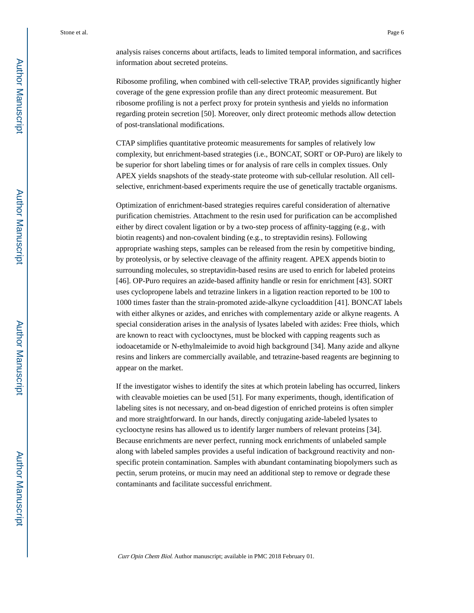analysis raises concerns about artifacts, leads to limited temporal information, and sacrifices information about secreted proteins.

Ribosome profiling, when combined with cell-selective TRAP, provides significantly higher coverage of the gene expression profile than any direct proteomic measurement. But ribosome profiling is not a perfect proxy for protein synthesis and yields no information regarding protein secretion [50]. Moreover, only direct proteomic methods allow detection of post-translational modifications.

CTAP simplifies quantitative proteomic measurements for samples of relatively low complexity, but enrichment-based strategies (i.e., BONCAT, SORT or OP-Puro) are likely to be superior for short labeling times or for analysis of rare cells in complex tissues. Only APEX yields snapshots of the steady-state proteome with sub-cellular resolution. All cellselective, enrichment-based experiments require the use of genetically tractable organisms.

Optimization of enrichment-based strategies requires careful consideration of alternative purification chemistries. Attachment to the resin used for purification can be accomplished either by direct covalent ligation or by a two-step process of affinity-tagging (e.g., with biotin reagents) and non-covalent binding (e.g., to streptavidin resins). Following appropriate washing steps, samples can be released from the resin by competitive binding, by proteolysis, or by selective cleavage of the affinity reagent. APEX appends biotin to surrounding molecules, so streptavidin-based resins are used to enrich for labeled proteins [46]. OP-Puro requires an azide-based affinity handle or resin for enrichment [43]. SORT uses cyclopropene labels and tetrazine linkers in a ligation reaction reported to be 100 to 1000 times faster than the strain-promoted azide-alkyne cycloaddition [41]. BONCAT labels with either alkynes or azides, and enriches with complementary azide or alkyne reagents. A special consideration arises in the analysis of lysates labeled with azides: Free thiols, which are known to react with cyclooctynes, must be blocked with capping reagents such as iodoacetamide or N-ethylmaleimide to avoid high background [34]. Many azide and alkyne resins and linkers are commercially available, and tetrazine-based reagents are beginning to appear on the market.

If the investigator wishes to identify the sites at which protein labeling has occurred, linkers with cleavable moieties can be used [51]. For many experiments, though, identification of labeling sites is not necessary, and on-bead digestion of enriched proteins is often simpler and more straightforward. In our hands, directly conjugating azide-labeled lysates to cyclooctyne resins has allowed us to identify larger numbers of relevant proteins [34]. Because enrichments are never perfect, running mock enrichments of unlabeled sample along with labeled samples provides a useful indication of background reactivity and nonspecific protein contamination. Samples with abundant contaminating biopolymers such as pectin, serum proteins, or mucin may need an additional step to remove or degrade these contaminants and facilitate successful enrichment.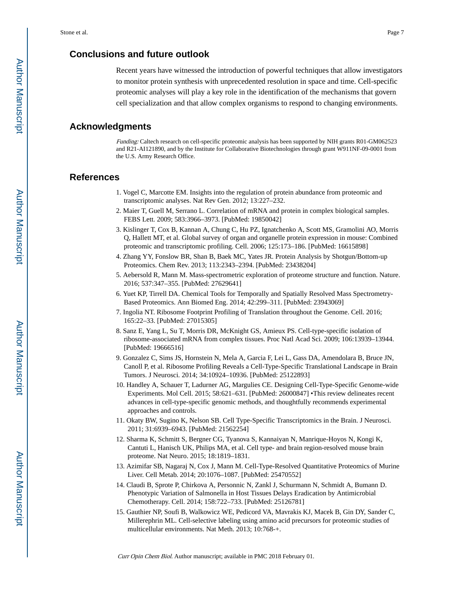## **Conclusions and future outlook**

Recent years have witnessed the introduction of powerful techniques that allow investigators to monitor protein synthesis with unprecedented resolution in space and time. Cell-specific proteomic analyses will play a key role in the identification of the mechanisms that govern cell specialization and that allow complex organisms to respond to changing environments.

## **Acknowledgments**

Funding: Caltech research on cell-specific proteomic analysis has been supported by NIH grants R01-GM062523 and R21-AI121890, and by the Institute for Collaborative Biotechnologies through grant W911NF-09-0001 from the U.S. Army Research Office.

#### **References**

- 1. Vogel C, Marcotte EM. Insights into the regulation of protein abundance from proteomic and transcriptomic analyses. Nat Rev Gen. 2012; 13:227–232.
- 2. Maier T, Guell M, Serrano L. Correlation of mRNA and protein in complex biological samples. FEBS Lett. 2009; 583:3966–3973. [PubMed: 19850042]
- 3. Kislinger T, Cox B, Kannan A, Chung C, Hu PZ, Ignatchenko A, Scott MS, Gramolini AO, Morris Q, Hallett MT, et al. Global survey of organ and organelle protein expression in mouse: Combined proteomic and transcriptomic profiling. Cell. 2006; 125:173–186. [PubMed: 16615898]
- 4. Zhang YY, Fonslow BR, Shan B, Baek MC, Yates JR. Protein Analysis by Shotgun/Bottom-up Proteomics. Chem Rev. 2013; 113:2343–2394. [PubMed: 23438204]
- 5. Aebersold R, Mann M. Mass-spectrometric exploration of proteome structure and function. Nature. 2016; 537:347–355. [PubMed: 27629641]
- 6. Yuet KP, Tirrell DA. Chemical Tools for Temporally and Spatially Resolved Mass Spectrometry-Based Proteomics. Ann Biomed Eng. 2014; 42:299–311. [PubMed: 23943069]
- 7. Ingolia NT. Ribosome Footprint Profiling of Translation throughout the Genome. Cell. 2016; 165:22–33. [PubMed: 27015305]
- 8. Sanz E, Yang L, Su T, Morris DR, McKnight GS, Amieux PS. Cell-type-specific isolation of ribosome-associated mRNA from complex tissues. Proc Natl Acad Sci. 2009; 106:13939–13944. [PubMed: 19666516]
- 9. Gonzalez C, Sims JS, Hornstein N, Mela A, Garcia F, Lei L, Gass DA, Amendolara B, Bruce JN, Canoll P, et al. Ribosome Profiling Reveals a Cell-Type-Specific Translational Landscape in Brain Tumors. J Neurosci. 2014; 34:10924–10936. [PubMed: 25122893]
- 10. Handley A, Schauer T, Ladurner AG, Margulies CE. Designing Cell-Type-Specific Genome-wide Experiments. Mol Cell. 2015; 58:621–631. [PubMed: 26000847] •This review delineates recent advances in cell-type-specific genomic methods, and thoughtfully recommends experimental approaches and controls.
- 11. Okaty BW, Sugino K, Nelson SB. Cell Type-Specific Transcriptomics in the Brain. J Neurosci. 2011; 31:6939–6943. [PubMed: 21562254]
- 12. Sharma K, Schmitt S, Bergner CG, Tyanova S, Kannaiyan N, Manrique-Hoyos N, Kongi K, Cantuti L, Hanisch UK, Philips MA, et al. Cell type- and brain region-resolved mouse brain proteome. Nat Neuro. 2015; 18:1819–1831.
- 13. Azimifar SB, Nagaraj N, Cox J, Mann M. Cell-Type-Resolved Quantitative Proteomics of Murine Liver. Cell Metab. 2014; 20:1076–1087. [PubMed: 25470552]
- 14. Claudi B, Sprote P, Chirkova A, Personnic N, Zankl J, Schurmann N, Schmidt A, Bumann D. Phenotypic Variation of Salmonella in Host Tissues Delays Eradication by Antimicrobial Chemotherapy. Cell. 2014; 158:722–733. [PubMed: 25126781]
- 15. Gauthier NP, Soufi B, Walkowicz WE, Pedicord VA, Mavrakis KJ, Macek B, Gin DY, Sander C, Millerephrin ML. Cell-selective labeling using amino acid precursors for proteomic studies of multicellular environments. Nat Meth. 2013; 10:768-+.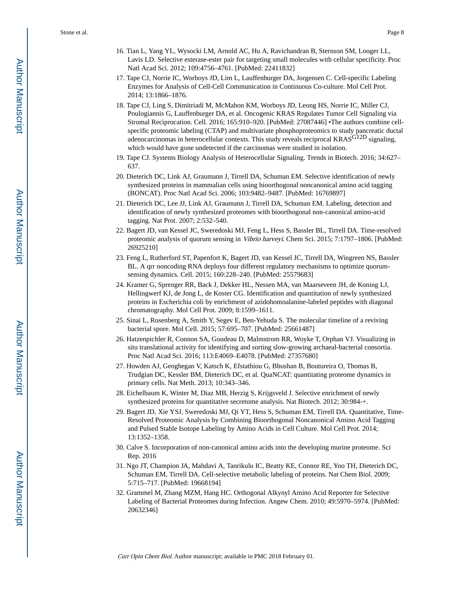- 16. Tian L, Yang YL, Wysocki LM, Arnold AC, Hu A, Ravichandran B, Sternson SM, Looger LL, Lavis LD. Selective esterase-ester pair for targeting small molecules with cellular specificity. Proc Natl Acad Sci. 2012; 109:4756–4761. [PubMed: 22411832]
- 17. Tape CJ, Norrie IC, Worboys JD, Lim L, Lauffenburger DA, Jorgensen C. Cell-specific Labeling Enzymes for Analysis of Cell-Cell Communication in Continuous Co-culture. Mol Cell Prot. 2014; 13:1866–1876.
- 18. Tape CJ, Ling S, Dimitriadi M, McMahon KM, Worboys JD, Leong HS, Norrie IC, Miller CJ, Poulogiannis G, Lauffenburger DA, et al. Oncogenic KRAS Regulates Tumor Cell Signaling via Stromal Reciprocation. Cell. 2016; 165:910–920. [PubMed: 27087446] •The authors combine cellspecific proteomic labeling (CTAP) and multivariate phosphoproteomics to study pancreatic ductal adenocarcinomas in heterocellular contexts. This study reveals reciprocal KRASG12D signaling, which would have gone undetected if the carcinomas were studied in isolation.
- 19. Tape CJ. Systems Biology Analysis of Heterocellular Signaling. Trends in Biotech. 2016; 34:627– 637.
- 20. Dieterich DC, Link AJ, Graumann J, Tirrell DA, Schuman EM. Selective identification of newly synthesized proteins in mammalian cells using bioorthogonal noncanonical amino acid tagging (BONCAT). Proc Natl Acad Sci. 2006; 103:9482–9487. [PubMed: 16769897]
- 21. Dieterich DC, Lee JJ, Link AJ, Graumann J, Tirrell DA, Schuman EM. Labeling, detection and identification of newly synthesized proteomes with bioorthogonal non-canonical amino-acid tagging. Nat Prot. 2007; 2:532–540.
- 22. Bagert JD, van Kessel JC, Sweredoski MJ, Feng L, Hess S, Bassler BL, Tirrell DA. Time-resolved proteomic analysis of quorum sensing in Vibrio harveyi. Chem Sci. 2015; 7:1797–1806. [PubMed: 26925210]
- 23. Feng L, Rutherford ST, Papenfort K, Bagert JD, van Kessel JC, Tirrell DA, Wingreen NS, Bassler BL. A qrr noncoding RNA deploys four different regulatory mechanisms to optimize quorumsensing dynamics. Cell. 2015; 160:228–240. [PubMed: 25579683]
- 24. Kramer G, Sprenger RR, Back J, Dekker HL, Nessen MA, van Maarseveen JH, de Koning LJ, Hellingwerf KJ, de Jong L, de Koster CG. Identification and quantitation of newly synthesized proteins in Escherichia coli by enrichment of azidohomoalanine-labeled peptides with diagonal chromatography. Mol Cell Prot. 2009; 8:1599–1611.
- 25. Sinai L, Rosenberg A, Smith Y, Segev E, Ben-Yehuda S. The molecular timeline of a reviving bacterial spore. Mol Cell. 2015; 57:695–707. [PubMed: 25661487]
- 26. Hatzenpichler R, Connon SA, Goudeau D, Malmstrom RR, Woyke T, Orphan VJ. Visualizing in situ translational activity for identifying and sorting slow-growing archaeal-bacterial consortia. Proc Natl Acad Sci. 2016; 113:E4069–E4078. [PubMed: 27357680]
- 27. Howden AJ, Geoghegan V, Katsch K, Efstathiou G, Bhushan B, Boutureira O, Thomas B, Trudgian DC, Kessler BM, Dieterich DC, et al. QuaNCAT: quantitating proteome dynamics in primary cells. Nat Meth. 2013; 10:343–346.
- 28. Eichelbaum K, Winter M, Diaz MB, Herzig S, Krijgsveld J. Selective enrichment of newly synthesized proteins for quantitative secretome analysis. Nat Biotech. 2012; 30:984-+.
- 29. Bagert JD, Xie YSJ, Sweredoski MJ, Qi YT, Hess S, Schuman EM, Tirrell DA. Quantitative, Time-Resolved Proteomic Analysis by Combining Bioorthogonal Noncanonical Amino Acid Tagging and Pulsed Stable Isotope Labeling by Amino Acids in Cell Culture. Mol Cell Prot. 2014; 13:1352–1358.
- 30. Calve S. Incorporation of non-canonical amino acids into the developing murine proteome. Sci Rep. 2016
- 31. Ngo JT, Champion JA, Mahdavi A, Tanrikulu IC, Beatty KE, Connor RE, Yoo TH, Dieterich DC, Schuman EM, Tirrell DA. Cell-selective metabolic labeling of proteins. Nat Chem Biol. 2009; 5:715–717. [PubMed: 19668194]
- 32. Grammel M, Zhang MZM, Hang HC. Orthogonal Alkynyl Amino Acid Reporter for Selective Labeling of Bacterial Proteomes during Infection. Angew Chem. 2010; 49:5970–5974. [PubMed: 20632346]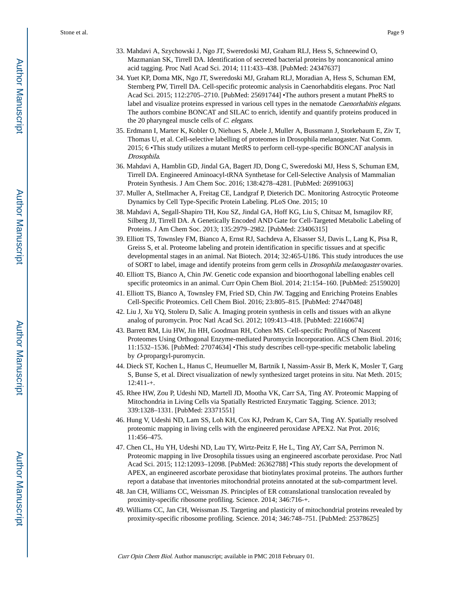- 33. Mahdavi A, Szychowski J, Ngo JT, Sweredoski MJ, Graham RLJ, Hess S, Schneewind O, Mazmanian SK, Tirrell DA. Identification of secreted bacterial proteins by noncanonical amino acid tagging. Proc Natl Acad Sci. 2014; 111:433–438. [PubMed: 24347637]
- 34. Yuet KP, Doma MK, Ngo JT, Sweredoski MJ, Graham RLJ, Moradian A, Hess S, Schuman EM, Sternberg PW, Tirrell DA. Cell-specific proteomic analysis in Caenorhabditis elegans. Proc Natl Acad Sci. 2015; 112:2705–2710. [PubMed: 25691744] •The authors present a mutant PheRS to label and visualize proteins expressed in various cell types in the nematode *Caenorhabitis elegans*. The authors combine BONCAT and SILAC to enrich, identify and quantify proteins produced in the 20 pharyngeal muscle cells of C. elegans.
- 35. Erdmann I, Marter K, Kobler O, Niehues S, Abele J, Muller A, Bussmann J, Storkebaum E, Ziv T, Thomas U, et al. Cell-selective labelling of proteomes in Drosophila melanogaster. Nat Comm. 2015; 6 •This study utilizes a mutant MetRS to perform cell-type-specific BONCAT analysis in Drosophila.
- 36. Mahdavi A, Hamblin GD, Jindal GA, Bagert JD, Dong C, Sweredoski MJ, Hess S, Schuman EM, Tirrell DA. Engineered Aminoacyl-tRNA Synthetase for Cell-Selective Analysis of Mammalian Protein Synthesis. J Am Chem Soc. 2016; 138:4278–4281. [PubMed: 26991063]
- 37. Muller A, Stellmacher A, Freitag CE, Landgraf P, Dieterich DC. Monitoring Astrocytic Proteome Dynamics by Cell Type-Specific Protein Labeling. PLoS One. 2015; 10
- 38. Mahdavi A, Segall-Shapiro TH, Kou SZ, Jindal GA, Hoff KG, Liu S, Chitsaz M, Ismagilov RF, Silberg JJ, Tirrell DA. A Genetically Encoded AND Gate for Cell-Targeted Metabolic Labeling of Proteins. J Am Chem Soc. 2013; 135:2979–2982. [PubMed: 23406315]
- 39. Elliott TS, Townsley FM, Bianco A, Ernst RJ, Sachdeva A, Elsasser SJ, Davis L, Lang K, Pisa R, Greiss S, et al. Proteome labeling and protein identification in specific tissues and at specific developmental stages in an animal. Nat Biotech. 2014; 32:465-U186. This study introduces the use of SORT to label, image and identify proteins from germ cells in Drosophila melanogaster ovaries.
- 40. Elliott TS, Bianco A, Chin JW. Genetic code expansion and bioorthogonal labelling enables cell specific proteomics in an animal. Curr Opin Chem Biol. 2014; 21:154–160. [PubMed: 25159020]
- 41. Elliott TS, Bianco A, Townsley FM, Fried SD, Chin JW. Tagging and Enriching Proteins Enables Cell-Specific Proteomics. Cell Chem Biol. 2016; 23:805–815. [PubMed: 27447048]
- 42. Liu J, Xu YQ, Stoleru D, Salic A. Imaging protein synthesis in cells and tissues with an alkyne analog of puromycin. Proc Natl Acad Sci. 2012; 109:413–418. [PubMed: 22160674]
- 43. Barrett RM, Liu HW, Jin HH, Goodman RH, Cohen MS. Cell-specific Profiling of Nascent Proteomes Using Orthogonal Enzyme-mediated Puromycin Incorporation. ACS Chem Biol. 2016; 11:1532–1536. [PubMed: 27074634] •This study describes cell-type-specific metabolic labeling by O-propargyl-puromycin.
- 44. Dieck ST, Kochen L, Hanus C, Heumueller M, Bartnik I, Nassim-Assir B, Merk K, Mosler T, Garg S, Bunse S, et al. Direct visualization of newly synthesized target proteins in situ. Nat Meth. 2015; 12:411-+.
- 45. Rhee HW, Zou P, Udeshi ND, Martell JD, Mootha VK, Carr SA, Ting AY. Proteomic Mapping of Mitochondria in Living Cells via Spatially Restricted Enzymatic Tagging. Science. 2013; 339:1328–1331. [PubMed: 23371551]
- 46. Hung V, Udeshi ND, Lam SS, Loh KH, Cox KJ, Pedram K, Carr SA, Ting AY. Spatially resolved proteomic mapping in living cells with the engineered peroxidase APEX2. Nat Prot. 2016; 11:456–475.
- 47. Chen CL, Hu YH, Udeshi ND, Lau TY, Wirtz-Peitz F, He L, Ting AY, Carr SA, Perrimon N. Proteomic mapping in live Drosophila tissues using an engineered ascorbate peroxidase. Proc Natl Acad Sci. 2015; 112:12093–12098. [PubMed: 26362788] •This study reports the development of APEX, an engineered ascorbate peroxidase that biotinylates proximal proteins. The authors further report a database that inventories mitochondrial proteins annotated at the sub-compartment level.
- 48. Jan CH, Williams CC, Weissman JS. Principles of ER cotranslational translocation revealed by proximity-specific ribosome profiling. Science. 2014; 346:716-+.
- 49. Williams CC, Jan CH, Weissman JS. Targeting and plasticity of mitochondrial proteins revealed by proximity-specific ribosome profiling. Science. 2014; 346:748–751. [PubMed: 25378625]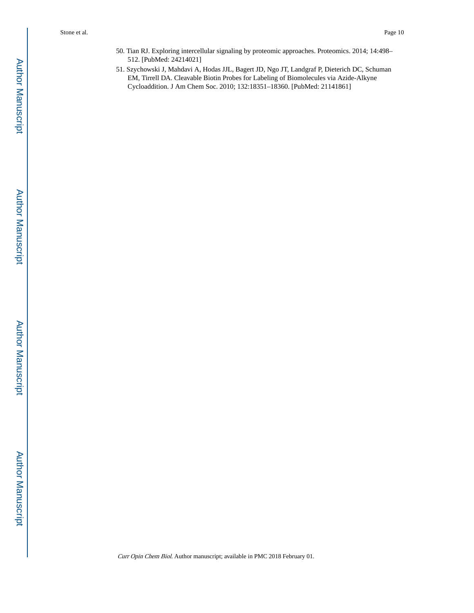- 50. Tian RJ. Exploring intercellular signaling by proteomic approaches. Proteomics. 2014; 14:498– 512. [PubMed: 24214021]
- 51. Szychowski J, Mahdavi A, Hodas JJL, Bagert JD, Ngo JT, Landgraf P, Dieterich DC, Schuman EM, Tirrell DA. Cleavable Biotin Probes for Labeling of Biomolecules via Azide-Alkyne Cycloaddition. J Am Chem Soc. 2010; 132:18351–18360. [PubMed: 21141861]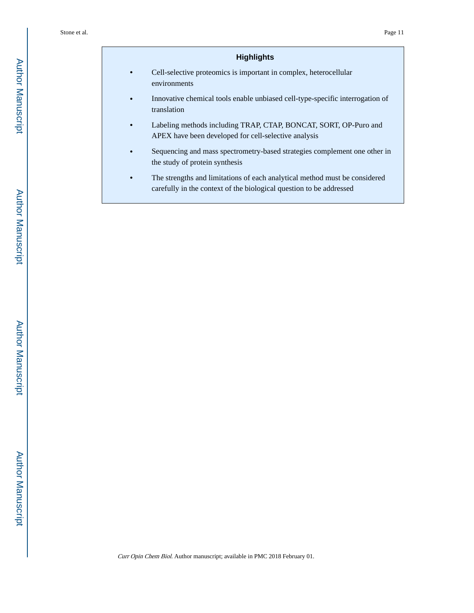## **Highlights**

- **•** Cell-selective proteomics is important in complex, heterocellular environments
- **•** Innovative chemical tools enable unbiased cell-type-specific interrogation of translation
- **•** Labeling methods including TRAP, CTAP, BONCAT, SORT, OP-Puro and APEX have been developed for cell-selective analysis
- **•** Sequencing and mass spectrometry-based strategies complement one other in the study of protein synthesis
- **•** The strengths and limitations of each analytical method must be considered carefully in the context of the biological question to be addressed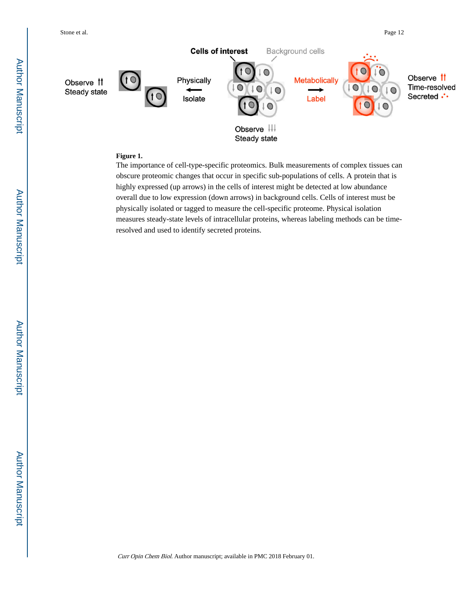

#### **Figure 1.**

The importance of cell-type-specific proteomics. Bulk measurements of complex tissues can obscure proteomic changes that occur in specific sub-populations of cells. A protein that is highly expressed (up arrows) in the cells of interest might be detected at low abundance overall due to low expression (down arrows) in background cells. Cells of interest must be physically isolated or tagged to measure the cell-specific proteome. Physical isolation measures steady-state levels of intracellular proteins, whereas labeling methods can be timeresolved and used to identify secreted proteins.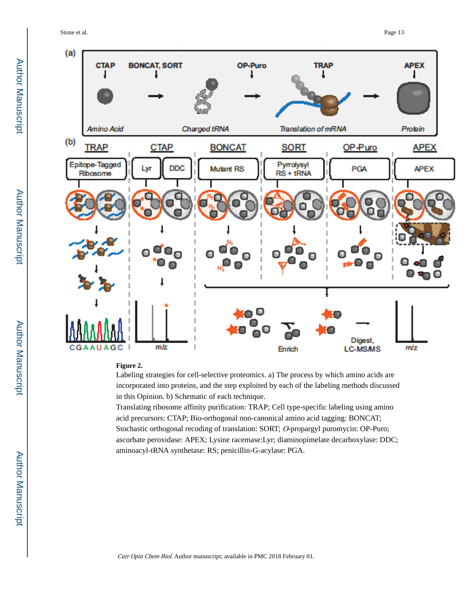Stone et al. Page 13



#### **Figure 2.**

Labeling strategies for cell-selective proteomics. a) The process by which amino acids are incorporated into proteins, and the step exploited by each of the labeling methods discussed in this Opinion. b) Schematic of each technique.

Translating ribosome affinity purification: TRAP; Cell type-specific labeling using amino acid precursors: CTAP; Bio-orthogonal non-canonical amino acid tagging: BONCAT; Stochastic orthogonal recoding of translation: SORT; O-propargyl puromycin: OP-Puro; ascorbate peroxidase: APEX; Lysine racemase:Lyr; diaminopimelate decarboxylase: DDC; aminoacyl-tRNA synthetase: RS; penicillin-G-acylase: PGA.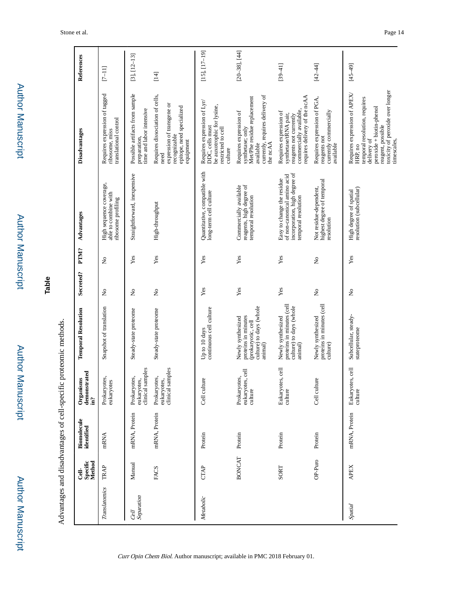|                    |                             | Advantages and disadvantages of cell-specific proteomic methods |                                                 |                                                                                                      |                                |                           |                                                                                                                   |                                                                                                                                                                                             |                      |
|--------------------|-----------------------------|-----------------------------------------------------------------|-------------------------------------------------|------------------------------------------------------------------------------------------------------|--------------------------------|---------------------------|-------------------------------------------------------------------------------------------------------------------|---------------------------------------------------------------------------------------------------------------------------------------------------------------------------------------------|----------------------|
|                    | Cell-<br>Specific<br>Method | Biomolecule<br>identified                                       | Organisms<br>demonstrated<br>in?                | <b>Temporal Resolution</b>                                                                           | Secreted?                      | PTM?                      | Advantages                                                                                                        | Disadvantages                                                                                                                                                                               | References           |
| Translatomics      | TRAP                        | mRNA                                                            | Prokaryotes,<br>eukaryotes                      | Snapshot of translation                                                                              | $\mathop{\mathsf{S}}\nolimits$ | $\tilde{z}$               | High sequence coverage,<br>able to combine with<br>ribosome profiling                                             | Requires expression of tagged<br>translational control<br>ribosome, miss                                                                                                                    | $[7 - 11]$           |
| Separation<br>Cell | Manual                      | mRNA, Protein                                                   | clinical samples<br>Prokaryotes,<br>eukaryotes, | Steady-state proteome                                                                                | $\frac{1}{2}$                  | Yes                       | Straightforward, inexpensive                                                                                      | Possible artifacts from sample<br>time and labor intensive<br>preparation,                                                                                                                  | $[3], [12-13]$       |
|                    | FACS                        | mRNA, Protein                                                   | eukaryotes,<br>clinical samples<br>Prokaryotes, | Steady-state proteome                                                                                | $\tilde{z}$                    | Yes                       | High-throughput                                                                                                   | Requires dissociation of cells,<br>expression of transgene or<br>epitope, need specialized<br>recognizable<br>equipment<br>need                                                             | $[14]$               |
| Metabolic          | <b>CTAP</b>                 | Protein                                                         | culture<br><b>Cell</b>                          | continuous cell culture<br>Up to 10 days                                                             | Yes                            | Yes                       | Quantitative, compatible with<br>long-term cell culture                                                           | Requires expression of Lyr/<br>DDC, cells must<br>be auxotrophic for lysine,<br>restricted to cell<br>culture                                                                               | $[15]$ , $[17-19]$   |
|                    | <b>BONCAT</b>               | Protein                                                         | eukaryotes, cell<br>Prokaryotes,<br>culture     | culture) to days (whole<br>proteins in minutes<br>Newly synthesized<br>(prokaryotic, cell<br>animal) | Yes                            | Yes                       | reagents, high degree of<br>Commercially available<br>temporal resolution                                         | currently, requires delivery of<br>Met/Phe residue replacement<br>Requires expression of<br>synthetase; only<br>available<br>the ncAA                                                       | $[20 - 38]$ , $[44]$ |
|                    | SORT                        | Protein                                                         | Eukaryotes, cell<br>culture                     | proteins in minutes (cell<br>culture) to days (whole<br>Newly synthesized<br>animal)                 | Yes                            | Yes                       | incorporation, high degree of<br>of non-canonical amino acid<br>Easy to change the residue<br>temporal resolution | requires delivery of the ncAA<br>commercially available,<br>Requires expression of<br>synthetase/tRNA pair,<br>reagents not currently                                                       | $[39 - 41]$          |
|                    | OP-Puro                     | Protein                                                         | culture<br><b>Cell</b>                          | proteins in minutes (cell<br>Newly synthesized<br>culture)                                           | $\stackrel{\circ}{\mathbf{z}}$ | $\mathsf{S}^{\mathsf{o}}$ | highest degree of temporal<br>Not residue-dependent,<br>resolution                                                | Requires expression of PGA,<br>currently commercially<br>available<br>reagents not                                                                                                          | $[42 - 44]$          |
| Spatial            | <b>APEX</b>                 | mRNA, Protein                                                   | Eukaryotes, cell<br>culture                     | Subcellular, steady-<br>stateproteome                                                                | $\frac{1}{2}$                  | Yes                       | High degree of spatial<br>resolution (subcellular)                                                                | toxicity of peroxide over longer<br>Requires expression of APEX/<br>temporal resolution, requires<br>peroxide + biotin-phenol<br>reagent, possible<br>timescales,<br>delivery of<br>HRP, no | $[45 - 49]$          |

Author Manuscript

**Author Manuscript** 

Author Manuscript

Author Manuscript

**Table**

Author Manuscript

Author Manuscript

Author Manuscript

Author Manuscript